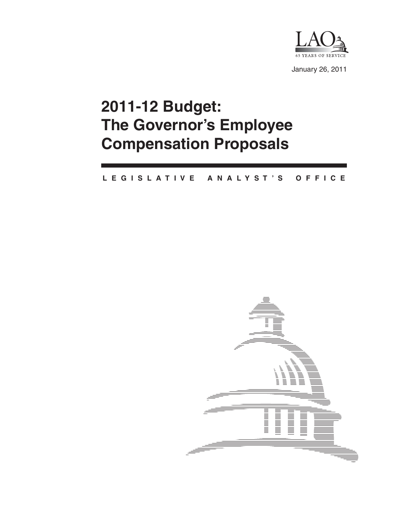

January 26, 2011

# **2011-12 Budget: The Governor's Employee Compensation Proposals**

#### **L E G I S L A T I V E A N A L Y S T ' S O F F I C E**

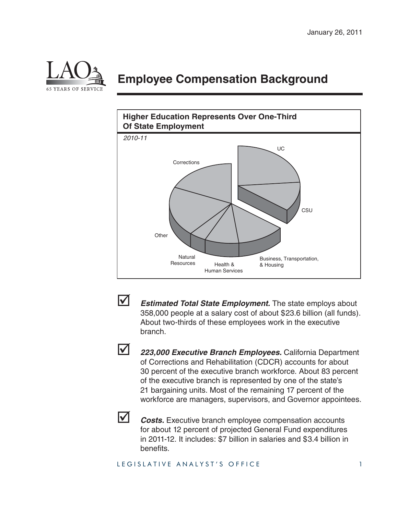

### **Employee Compensation Background**





**Estimated Total State Employment.** The state employs about 358,000 people at a salary cost of about \$23.6 billion (all funds). About two-thirds of these employees work in the executive branch.



 *223,000 Executive Branch Employees.* California Department of Corrections and Rehabilitation (CDCR) accounts for about 30 percent of the executive branch workforce. About 83 percent of the executive branch is represented by one of the state's 21 bargaining units. Most of the remaining 17 percent of the workforce are managers, supervisors, and Governor appointees.



**Z** *Costs.* Executive branch employee compensation accounts for about 12 percent of projected General Fund expenditures in 2011-12. It includes: \$7 billion in salaries and \$3.4 billion in benefits.

#### LEGISLATIVE ANALYST'S OFFICE 1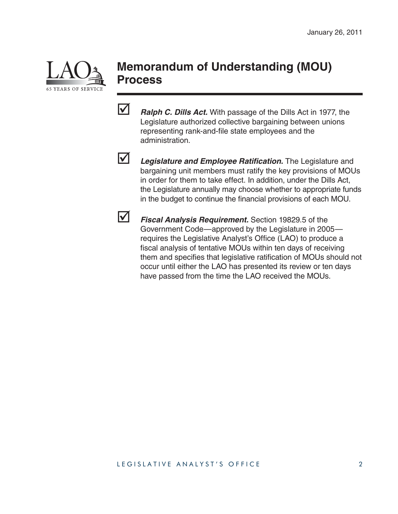

### **Memorandum of Understanding (MOU) Process**

*Ralph C. Dills Act.* With passage of the Dills Act in 1977, the Legislature authorized collective bargaining between unions representing rank-and-file state employees and the administration.



**12** Legislature and Employee Ratification. The Legislature and bargaining unit members must ratify the key provisions of MOUs in order for them to take effect. In addition, under the Dills Act, the Legislature annually may choose whether to appropriate funds in the budget to continue the financial provisions of each MOU.



 *Fiscal Analysis Requirement.* Section 19829.5 of the Government Code—approved by the Legislature in 2005 requires the Legislative Analyst's Office (LAO) to produce a fiscal analysis of tentative MOUs within ten days of receiving them and specifies that legislative ratification of MOUs should not occur until either the LAO has presented its review or ten days have passed from the time the LAO received the MOUs.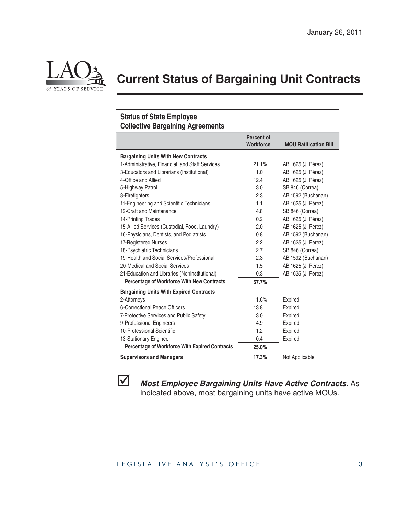

## **Current Status of Bargaining Unit Contracts**

| <b>Status of State Employee</b><br><b>Collective Bargaining Agreements</b> |                                |                              |
|----------------------------------------------------------------------------|--------------------------------|------------------------------|
|                                                                            | Percent of<br><b>Workforce</b> | <b>MOU Ratification Bill</b> |
| <b>Bargaining Units With New Contracts</b>                                 |                                |                              |
| 1-Administrative, Financial, and Staff Services                            | 21.1%                          | AB 1625 (J. Pérez)           |
| 3-Educators and Librarians (Institutional)                                 | 1.0                            | AB 1625 (J. Pérez)           |
| 4-Office and Allied                                                        | 12.4                           | AB 1625 (J. Pérez)           |
| 5-Highway Patrol                                                           | 3.0                            | SB 846 (Correa)              |
| 8-Firefighters                                                             | 2.3                            | AB 1592 (Buchanan)           |
| 11-Engineering and Scientific Technicians                                  | 1.1                            | AB 1625 (J. Pérez)           |
| 12-Craft and Maintenance                                                   | 4.8                            | SB 846 (Correa)              |
| 14-Printing Trades                                                         | 0.2                            | AB 1625 (J. Pérez)           |
| 15-Allied Services (Custodial, Food, Laundry)                              | 2.0                            | AB 1625 (J. Pérez)           |
| 16-Physicians, Dentists, and Podiatrists                                   | 0.8                            | AB 1592 (Buchanan)           |
| 17-Registered Nurses                                                       | 2.2                            | AB 1625 (J. Pérez)           |
| 18-Psychiatric Technicians                                                 | 2.7                            | SB 846 (Correa)              |
| 19-Health and Social Services/Professional                                 | 2.3                            | AB 1592 (Buchanan)           |
| 20-Medical and Social Services                                             | 1.5                            | AB 1625 (J. Pérez)           |
| 21-Education and Libraries (Noninstitutional)                              | 0.3                            | AB 1625 (J. Pérez)           |
| <b>Percentage of Workforce With New Contracts</b>                          | 57.7%                          |                              |
| <b>Bargaining Units With Expired Contracts</b>                             |                                |                              |
| 2-Attorneys                                                                | 1.6%                           | Expired                      |
| 6-Correctional Peace Officers                                              | 13.8                           | Expired                      |
| 7-Protective Services and Public Safety                                    | 3.0                            | Expired                      |
| 9-Professional Engineers                                                   | 4.9                            | Expired                      |
| 10-Professional Scientific                                                 | 1.2                            | Expired                      |
| 13-Stationary Engineer                                                     | 0.4                            | Expired                      |
| <b>Percentage of Workforce With Expired Contracts</b>                      | 25.0%                          |                              |
| <b>Supervisors and Managers</b>                                            | 17.3%                          | Not Applicable               |



 *Most Employee Bargaining Units Have Active Contracts.* As indicated above, most bargaining units have active MOUs.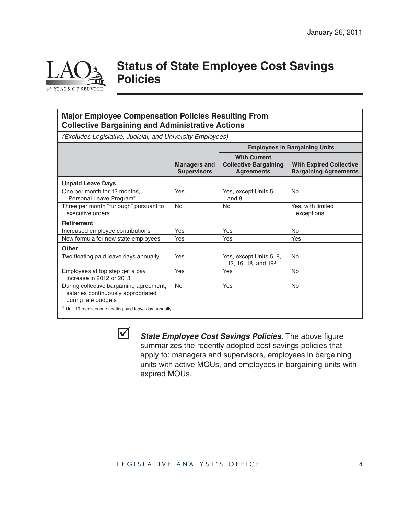

### **Status of State Employee Cost Savings Policies**

#### **Major Employee Compensation Policies Resulting From Collective Bargaining and Administrative Actions**

(Excludes Legislative, Judicial, and University Employees)

|                                                                                                      |                                           | <b>Employees in Bargaining Units</b>                                     |                                                                |
|------------------------------------------------------------------------------------------------------|-------------------------------------------|--------------------------------------------------------------------------|----------------------------------------------------------------|
|                                                                                                      | <b>Managers and</b><br><b>Supervisors</b> | <b>With Current</b><br><b>Collective Bargaining</b><br><b>Agreements</b> | <b>With Expired Collective</b><br><b>Bargaining Agreements</b> |
| <b>Unpaid Leave Days</b>                                                                             |                                           |                                                                          |                                                                |
| One per month for 12 months,<br>"Personal Leave Program"                                             | Yes                                       | Yes, except Units 5<br>and 8                                             | No                                                             |
| Three per month "furlough" pursuant to<br>executive orders                                           | No                                        | No                                                                       | Yes, with limited<br>exceptions                                |
| <b>Retirement</b>                                                                                    |                                           |                                                                          |                                                                |
| Increased employee contributions                                                                     | Yes                                       | Yes                                                                      | No.                                                            |
| New formula for new state employees                                                                  | Yes                                       | Yes                                                                      | Yes                                                            |
| <b>Other</b>                                                                                         |                                           |                                                                          |                                                                |
| Two floating paid leave days annually                                                                | Yes                                       | Yes, except Units 5, 8,<br>12, 16, 18, and $19^a$                        | No                                                             |
| Employees at top step get a pay<br>increase in 2012 or 2013                                          | Yes                                       | Yes                                                                      | <b>No</b>                                                      |
| During collective bargaining agreement,<br>salaries continuously appropriated<br>during late budgets | <b>No</b>                                 | Yes                                                                      | No.                                                            |
| <sup>a</sup> Unit 19 receives one floating paid leave day annually.                                  |                                           |                                                                          |                                                                |



*State Employee Cost Savings Policies.* The above figure summarizes the recently adopted cost savings policies that apply to: managers and supervisors, employees in bargaining units with active MOUs, and employees in bargaining units with expired MOUs.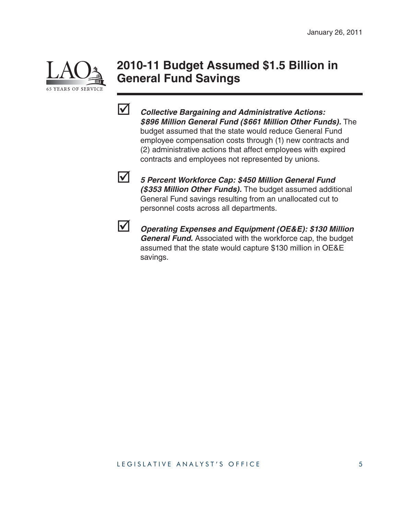

### **2010-11 Budget Assumed \$1.5 Billion in General Fund Savings**



 *Collective Bargaining and Administrative Actions: \$896 Million General Fund (\$661 Million Other Funds).* The budget assumed that the state would reduce General Fund employee compensation costs through (1) new contracts and (2) administrative actions that affect employees with expired contracts and employees not represented by unions.



 *5 Percent Workforce Cap: \$450 Million General Fund (\$353 Million Other Funds).* The budget assumed additional General Fund savings resulting from an unallocated cut to personnel costs across all departments.



 *Operating Expenses and Equipment (OE&E): \$130 Million General Fund.* Associated with the workforce cap, the budget assumed that the state would capture \$130 million in OE&E savings.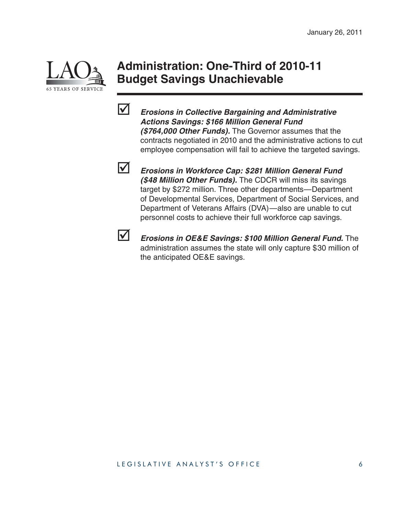

### **Administration: One-Third of 2010-11 Budget Savings Unachievable**



 *Erosions in Collective Bargaining and Administrative Actions Savings: \$166 Million General Fund (\$764,000 Other Funds).* The Governor assumes that the contracts negotiated in 2010 and the administrative actions to cut employee compensation will fail to achieve the targeted savings.



 *Erosions in Workforce Cap: \$281 Million General Fund (\$48 Million Other Funds).* The CDCR will miss its savings target by \$272 million. Three other departments—Department of Developmental Services, Department of Social Services, and Department of Veterans Affairs (DVA)—also are unable to cut personnel costs to achieve their full workforce cap savings.



**M** *Erosions in OE&E Savings: \$100 Million General Fund.* The administration assumes the state will only capture \$30 million of the anticipated OE&E savings.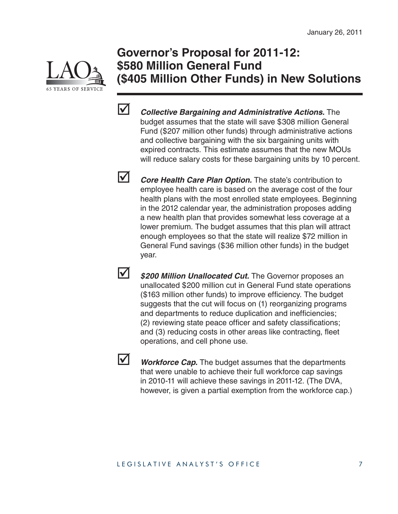

### **Governor's Proposal for 2011-12: \$580 Million General Fund (\$405 Million Other Funds) in New Solutions**



*Collective Bargaining and Administrative Actions.* **The** budget assumes that the state will save \$308 million General Fund (\$207 million other funds) through administrative actions and collective bargaining with the six bargaining units with expired contracts. This estimate assumes that the new MOUs will reduce salary costs for these bargaining units by 10 percent.

**V** *Core Health Care Plan Option.* The state's contribution to employee health care is based on the average cost of the four health plans with the most enrolled state employees. Beginning in the 2012 calendar year, the administration proposes adding a new health plan that provides somewhat less coverage at a lower premium. The budget assumes that this plan will attract enough employees so that the state will realize \$72 million in General Fund savings (\$36 million other funds) in the budget year.

**1** \$200 Million Unallocated Cut. The Governor proposes an unallocated \$200 million cut in General Fund state operations (\$163 million other funds) to improve efficiency. The budget suggests that the cut will focus on (1) reorganizing programs and departments to reduce duplication and inefficiencies; (2) reviewing state peace officer and safety classifications; and (3) reducing costs in other areas like contracting, fleet operations, and cell phone use.



**V** Workforce Cap. The budget assumes that the departments that were unable to achieve their full workforce cap savings in 2010-11 will achieve these savings in 2011-12. (The DVA, however, is given a partial exemption from the workforce cap.)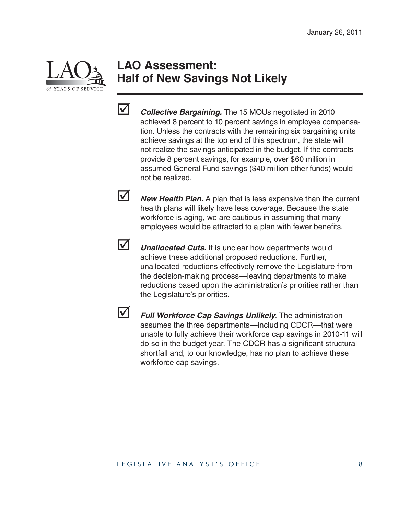

### **LAO Assessment: Half of New Savings Not Likely**



*Collective Bargaining.* The 15 MOUs negotiated in 2010 achieved 8 percent to 10 percent savings in employee compensation. Unless the contracts with the remaining six bargaining units achieve savings at the top end of this spectrum, the state will not realize the savings anticipated in the budget. If the contracts provide 8 percent savings, for example, over \$60 million in assumed General Fund savings (\$40 million other funds) would not be realized.

**Mew Health Plan.** A plan that is less expensive than the current health plans will likely have less coverage. Because the state workforce is aging, we are cautious in assuming that many employees would be attracted to a plan with fewer benefits.



**V** *Unallocated Cuts.* It is unclear how departments would achieve these additional proposed reductions. Further, unallocated reductions effectively remove the Legislature from the decision-making process—leaving departments to make reductions based upon the administration's priorities rather than the Legislature's priorities.



 *Full Workforce Cap Savings Unlikely.* The administration assumes the three departments—including CDCR—that were unable to fully achieve their workforce cap savings in 2010-11 will do so in the budget year. The CDCR has a significant structural shortfall and, to our knowledge, has no plan to achieve these workforce cap savings.